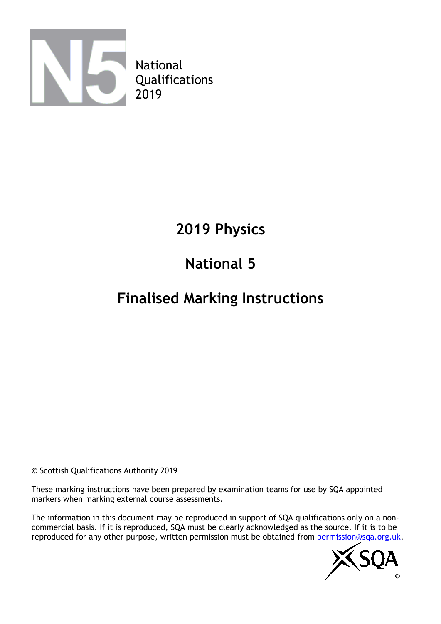

# **2019 Physics**

# **National 5**

# **Finalised Marking Instructions**

© Scottish Qualifications Authority 2019

These marking instructions have been prepared by examination teams for use by SQA appointed markers when marking external course assessments.

The information in this document may be reproduced in support of SQA qualifications only on a noncommercial basis. If it is reproduced, SQA must be clearly acknowledged as the source. If it is to be reproduced for any other purpose, written permission must be obtained from [permission@sqa.org.uk.](mailto:permission@sqa.org.uk)

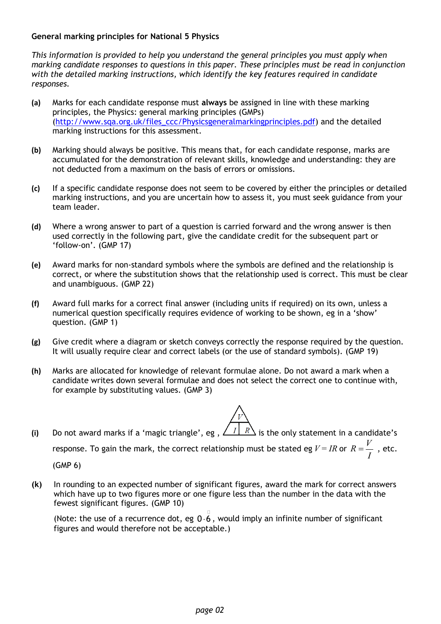#### **General marking principles for National 5 Physics**

*This information is provided to help you understand the general principles you must apply when marking candidate responses to questions in this paper. These principles must be read in conjunction with the detailed marking instructions, which identify the key features required in candidate responses.*

- **(a)** Marks for each candidate response must **always** be assigned in line with these marking principles, the Physics: general marking principles (GMPs) [\(http://www.sqa.org.uk/files\\_ccc/Physicsgeneralmarkingprinciples.pdf\)](http://www.sqa.org.uk/files_ccc/Physicsgeneralmarkingprinciples.pdf) and the detailed marking instructions for this assessment.
- **(b)** Marking should always be positive. This means that, for each candidate response, marks are accumulated for the demonstration of relevant skills, knowledge and understanding: they are not deducted from a maximum on the basis of errors or omissions.
- **(c)** If a specific candidate response does not seem to be covered by either the principles or detailed marking instructions, and you are uncertain how to assess it, you must seek guidance from your team leader.
- **(d)** Where a wrong answer to part of a question is carried forward and the wrong answer is then used correctly in the following part, give the candidate credit for the subsequent part or 'follow-on'. (GMP 17)
- **(e)** Award marks for non-standard symbols where the symbols are defined and the relationship is correct, or where the substitution shows that the relationship used is correct. This must be clear and unambiguous. (GMP 22)
- **(f)** Award full marks for a correct final answer (including units if required) on its own, unless a numerical question specifically requires evidence of working to be shown, eg in a 'show' question. (GMP 1)
- **(g)** Give credit where a diagram or sketch conveys correctly the response required by the question. It will usually require clear and correct labels (or the use of standard symbols). (GMP 19)
- **(h)** Marks are allocated for knowledge of relevant formulae alone. Do not award a mark when a candidate writes down several formulae and does not select the correct one to continue with, for example by substituting values. (GMP 3)
- (i) Do not award marks if a 'magic triangle', eg ,  $\sqrt{I/R}$  is the only statement in a candidate's response. To gain the mark, the correct relationship must be stated eg  $V$  = *IR* or  $R = \dfrac{V}{I}$  , etc. (GMP 6)
- **(k)** In rounding to an expected number of significant figures, award the mark for correct answers which have up to two figures more or one figure less than the number in the data with the fewest significant figures. (GMP 10)

(Note: the use of a recurrence dot, eg  $0.\overline{6}$ , would imply an infinite number of significant figures and would therefore not be acceptable.)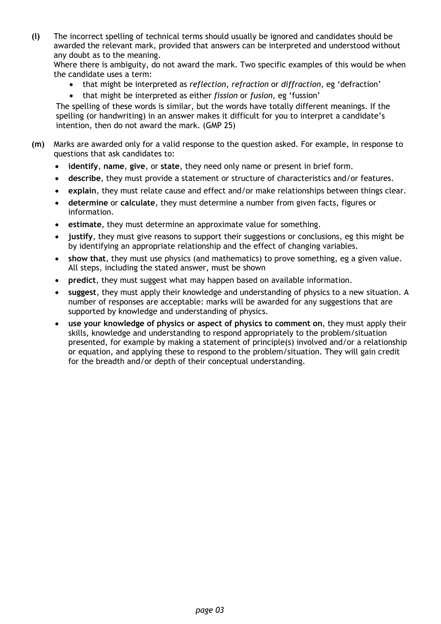**(l)** The incorrect spelling of technical terms should usually be ignored and candidates should be awarded the relevant mark, provided that answers can be interpreted and understood without any doubt as to the meaning.

Where there is ambiguity, do not award the mark. Two specific examples of this would be when the candidate uses a term:

- that might be interpreted as *reflection*, *refraction* or *diffraction*, eg 'defraction'
- that might be interpreted as either *fission* or *fusion*, eg 'fussion'

The spelling of these words is similar, but the words have totally different meanings. If the spelling (or handwriting) in an answer makes it difficult for you to interpret a candidate's intention, then do not award the mark. (GMP 25)

- **(m)** Marks are awarded only for a valid response to the question asked. For example, in response to questions that ask candidates to:
	- **identify**, **name**, **give**, or **state**, they need only name or present in brief form.
	- **describe**, they must provide a statement or structure of characteristics and/or features.
	- **explain**, they must relate cause and effect and/or make relationships between things clear.
	- **determine** or **calculate**, they must determine a number from given facts, figures or information.
	- **estimate**, they must determine an approximate value for something.
	- **justify**, they must give reasons to support their suggestions or conclusions, eg this might be by identifying an appropriate relationship and the effect of changing variables.
	- **show that**, they must use physics (and mathematics) to prove something, eg a given value. All steps, including the stated answer, must be shown
	- **predict**, they must suggest what may happen based on available information.
	- **suggest**, they must apply their knowledge and understanding of physics to a new situation. A number of responses are acceptable: marks will be awarded for any suggestions that are supported by knowledge and understanding of physics.
	- **use your knowledge of physics or aspect of physics to comment on**, they must apply their skills, knowledge and understanding to respond appropriately to the problem/situation presented, for example by making a statement of principle(s) involved and/or a relationship or equation, and applying these to respond to the problem/situation. They will gain credit for the breadth and/or depth of their conceptual understanding.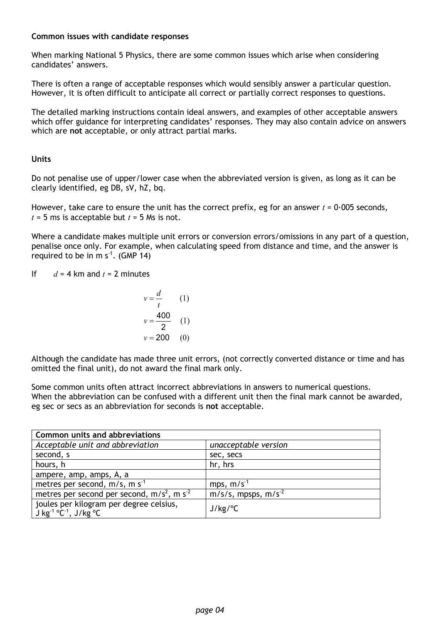#### **Common issues with candidate responses**

When marking National 5 Physics, there are some common issues which arise when considering candidates' answers.

There is often a range of acceptable responses which would sensibly answer a particular question. However, it is often difficult to anticipate all correct or partially correct responses to questions.

The detailed marking instructions contain ideal answers, and examples of other acceptable answers which offer guidance for interpreting candidates' responses. They may also contain advice on answers which are **not** acceptable, or only attract partial marks.

#### **Units**

Do not penalise use of upper/lower case when the abbreviated version is given, as long as it can be clearly identified, eg DB, sV, hZ, bq.

However, take care to ensure the unit has the correct prefix, eg for an answer  $t = 0.005$  seconds,  $t = 5$  ms is acceptable but  $t = 5$  Ms is not.

Where a candidate makes multiple unit errors or conversion errors/omissions in any part of a question, penalise once only. For example, when calculating speed from distance and time, and the answer is required to be in m  $s^{-1}$ . (GMP 14)

If  $d = 4$  km and  $t = 2$  minutes

$$
v = \frac{d}{t}
$$
 (1)  

$$
v = \frac{400}{2}
$$
 (1)  

$$
v = 200
$$
 (0)

Although the candidate has made three unit errors, (not correctly converted distance or time and has omitted the final unit), do not award the final mark only.

Some common units often attract incorrect abbreviations in answers to numerical questions. When the abbreviation can be confused with a different unit then the final mark cannot be awarded, eg sec or secs as an abbreviation for seconds is **not** acceptable.

| <b>Common units and abbreviations</b>                                                                 |                                    |  |  |  |  |
|-------------------------------------------------------------------------------------------------------|------------------------------------|--|--|--|--|
| Acceptable unit and abbreviation                                                                      | unacceptable version               |  |  |  |  |
| second, s                                                                                             | sec, secs                          |  |  |  |  |
| hours, h                                                                                              | hr, hrs                            |  |  |  |  |
| ampere, amp, amps, A, a                                                                               |                                    |  |  |  |  |
| metres per second, $m/s$ , m s <sup>-1</sup>                                                          | mps, $m/s^{-1}$                    |  |  |  |  |
| metres per second per second, $m/s2$ , m s <sup>-2</sup>                                              | $m/s/s$ , mpsps, m/s <sup>-2</sup> |  |  |  |  |
| joules per kilogram per degree celsius,<br>J kg <sup>-1 o</sup> C <sup>-1</sup> , J/kg <sup>o</sup> C | $J/kg$ /°C                         |  |  |  |  |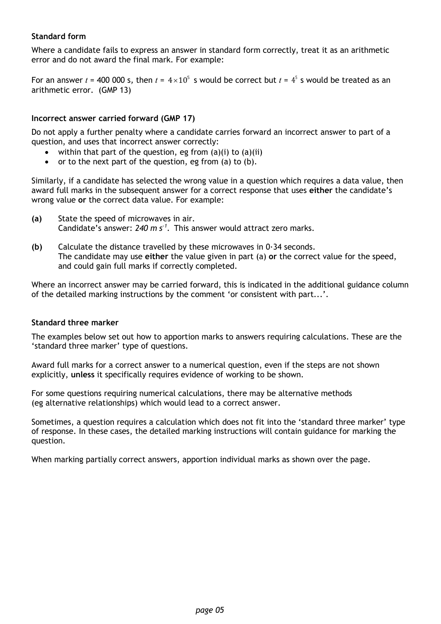#### **Standard form**

Where a candidate fails to express an answer in standard form correctly, treat it as an arithmetic error and do not award the final mark. For example:

For an answer  $t$  = 400 000 s, then  $t$  =  $4 \times 10^5$  s would be correct but  $t$  =  $4^5$  s would be treated as an arithmetic error. (GMP 13)

#### **Incorrect answer carried forward (GMP 17)**

Do not apply a further penalty where a candidate carries forward an incorrect answer to part of a question, and uses that incorrect answer correctly:

- within that part of the question, eg from  $(a)(i)$  to  $(a)(ii)$
- or to the next part of the question, eg from (a) to (b).

Similarly, if a candidate has selected the wrong value in a question which requires a data value, then award full marks in the subsequent answer for a correct response that uses **either** the candidate's wrong value **or** the correct data value. For example:

- **(a)** State the speed of microwaves in air. Candidate's answer: 240 m s<sup>-1</sup>. This answer would attract zero marks.
- **(b)** Calculate the distance travelled by these microwaves in 0·34 seconds. The candidate may use **either** the value given in part (a) **or** the correct value for the speed, and could gain full marks if correctly completed.

Where an incorrect answer may be carried forward, this is indicated in the additional guidance column of the detailed marking instructions by the comment 'or consistent with part...'.

#### **Standard three marker**

The examples below set out how to apportion marks to answers requiring calculations. These are the 'standard three marker' type of questions.

Award full marks for a correct answer to a numerical question, even if the steps are not shown explicitly, **unless** it specifically requires evidence of working to be shown.

For some questions requiring numerical calculations, there may be alternative methods (eg alternative relationships) which would lead to a correct answer.

Sometimes, a question requires a calculation which does not fit into the 'standard three marker' type of response. In these cases, the detailed marking instructions will contain guidance for marking the question.

When marking partially correct answers, apportion individual marks as shown over the page.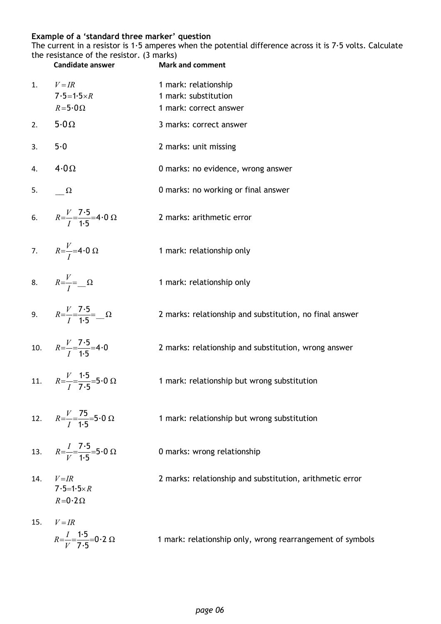#### **Example of a 'standard three marker' question**

The current in a resistor is 1·5 amperes when the potential difference across it is 7·5 volts. Calculate the resistance of the resistor. (3 marks)

|     | <b>Candidate answer</b>                                          | <b>Mark and comment</b>                                                |
|-----|------------------------------------------------------------------|------------------------------------------------------------------------|
| 1.  | $V = IR$<br>$7.5 = 1.5 \times R$<br>$R = 5.0 \Omega$             | 1 mark: relationship<br>1 mark: substitution<br>1 mark: correct answer |
| 2.  | $5.0\Omega$                                                      | 3 marks: correct answer                                                |
| 3.  | 5.0                                                              | 2 marks: unit missing                                                  |
| 4.  | $4.0\,\Omega$                                                    | 0 marks: no evidence, wrong answer                                     |
|     | 5. $\Omega$                                                      | 0 marks: no working or final answer                                    |
|     | 6. $R=\frac{V}{I}=\frac{7.5}{1.5}=4.0 \Omega$                    | 2 marks: arithmetic error                                              |
|     | 7. $R = \frac{V}{I} = 4.0 \Omega$                                | 1 mark: relationship only                                              |
|     | 8. $R = \frac{V}{I} = \Omega$                                    | 1 mark: relationship only                                              |
|     | 9. $R=\frac{V}{I}=\frac{7.5}{1.5}=\Omega$                        | 2 marks: relationship and substitution, no final answer                |
|     | 10. $R=\frac{V}{I}=\frac{7\cdot 5}{1\cdot 5}=4\cdot 0$           | 2 marks: relationship and substitution, wrong answer                   |
|     | 11. $R=\frac{V}{I}=\frac{1\cdot5}{7\cdot5}=5\cdot0$ $\Omega$     | 1 mark: relationship but wrong substitution                            |
|     | 12. $R=\frac{V}{I}=\frac{75}{1.5}=5.0 \Omega$                    | 1 mark: relationship but wrong substitution                            |
| 13. | $R = \frac{I}{V} = \frac{7.5}{1.5} = 5.0 \Omega$                 | 0 marks: wrong relationship                                            |
| 14. | $V = IR$<br>$7.5=1.5\times R$<br>$R = 0.2 \Omega$                | 2 marks: relationship and substitution, arithmetic error               |
| 15. | $V = IR$<br>$R=\frac{I}{V}=\frac{1\cdot 5}{7\cdot 5}=0.2 \Omega$ | 1 mark: relationship only, wrong rearrangement of symbols              |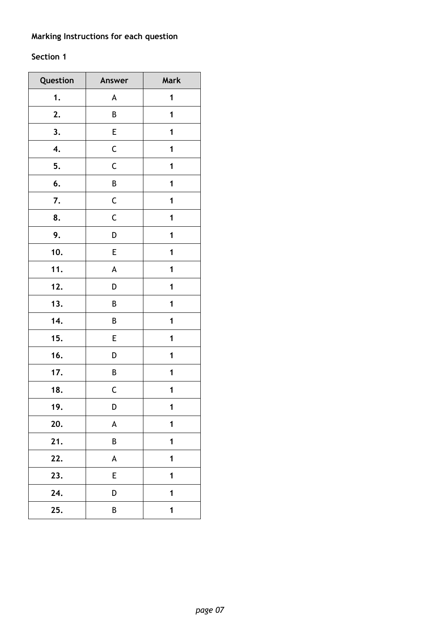### **Marking Instructions for each question**

### **Section 1**

| Question | Answer                    | Mark        |
|----------|---------------------------|-------------|
| 1.       | A                         | 1           |
| 2.       | B                         | 1           |
| 3.       | E                         | 1           |
| 4.       | $\mathsf C$               | 1           |
| 5.       | $\mathsf C$               | 1           |
| 6.       | B                         | 1           |
| 7.       | $\mathsf C$               | 1           |
| 8.       | $\mathsf C$               | 1           |
| 9.       | D                         | 1           |
| 10.      | E                         | 1           |
| 11.      | A                         | 1           |
| 12.      | D                         | 1           |
| 13.      | В                         | 1           |
| 14.      | B                         | 1           |
| 15.      | E                         | 1           |
| 16.      | D                         | 1           |
| 17.      | B                         | 1           |
| 18.      | $\mathsf C$               | 1           |
| 19.      | D                         | 1           |
| 20.      | $\boldsymbol{\mathsf{A}}$ | 1           |
| 21.      | B                         | 1           |
| 22.      | A                         | $\mathbf 1$ |
| 23.      | E                         | 1           |
| 24.      | D                         | 1           |
| 25.      | B                         | $\mathbf 1$ |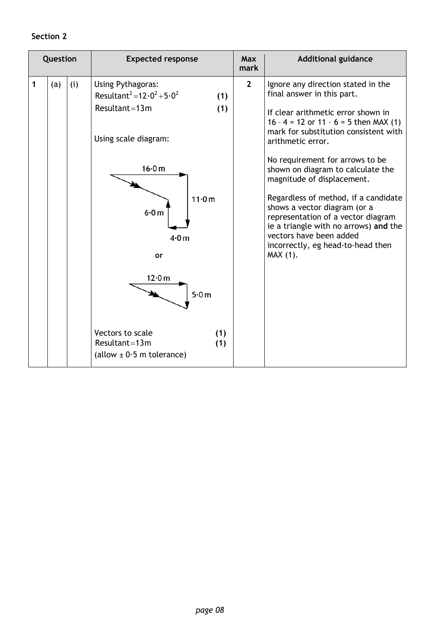### **Section 2**

| Question |     |     | <b>Expected response</b>                                                                                                                                                                                                                       | <b>Max</b><br>mark | <b>Additional guidance</b>                                                                                                                                                                                                                                                                                                                                                                                                                                                                                                                              |
|----------|-----|-----|------------------------------------------------------------------------------------------------------------------------------------------------------------------------------------------------------------------------------------------------|--------------------|---------------------------------------------------------------------------------------------------------------------------------------------------------------------------------------------------------------------------------------------------------------------------------------------------------------------------------------------------------------------------------------------------------------------------------------------------------------------------------------------------------------------------------------------------------|
| 1        | (a) | (i) | Using Pythagoras:<br>Resultant <sup>2</sup> =12 $\cdot$ 0 <sup>2</sup> +5 $\cdot$ 0 <sup>2</sup><br>(1)<br>Resultant=13 $m$<br>(1)<br>Using scale diagram:<br>16.0 m<br>11·0m<br>6.0 m<br>4.0 <sub>m</sub><br>or<br>12.0 m<br>5.0 <sub>m</sub> | $\overline{2}$     | Ignore any direction stated in the<br>final answer in this part.<br>If clear arithmetic error shown in<br>16 - 4 = 12 or 11 - 6 = 5 then MAX (1)<br>mark for substitution consistent with<br>arithmetic error.<br>No requirement for arrows to be<br>shown on diagram to calculate the<br>magnitude of displacement.<br>Regardless of method, if a candidate<br>shows a vector diagram (or a<br>representation of a vector diagram<br>ie a triangle with no arrows) and the<br>vectors have been added<br>incorrectly, eg head-to-head then<br>MAX (1). |
|          |     |     | Vectors to scale<br>(1)<br>Resultant=13 $m$<br>(1)<br>(allow $\pm$ 0.5 m tolerance)                                                                                                                                                            |                    |                                                                                                                                                                                                                                                                                                                                                                                                                                                                                                                                                         |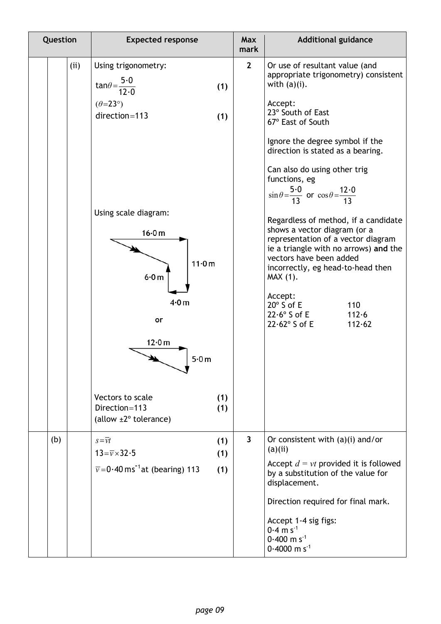| Question | <b>Expected response</b>                                                                                                                                                             | <b>Max</b><br>mark | <b>Additional guidance</b>                                                                                                                                                                                                                                                                                                                                                                                                                                                                                                                           |
|----------|--------------------------------------------------------------------------------------------------------------------------------------------------------------------------------------|--------------------|------------------------------------------------------------------------------------------------------------------------------------------------------------------------------------------------------------------------------------------------------------------------------------------------------------------------------------------------------------------------------------------------------------------------------------------------------------------------------------------------------------------------------------------------------|
| (ii)     | Using trigonometry:<br>$tan\theta = \frac{5 \cdot 0}{12 \cdot 0}$<br>(1)<br>$(\theta = 23^{\circ})$<br>direction=113<br>(1)                                                          | $\mathbf{2}$       | Or use of resultant value (and<br>appropriate trigonometry) consistent<br>with $(a)(i)$ .<br>Accept:<br>23° South of East<br>67° East of South                                                                                                                                                                                                                                                                                                                                                                                                       |
|          | Using scale diagram:<br>16.0 m<br>11.0m<br>6.0 m<br>4.0 <sub>m</sub><br>or<br>12·0 m<br>5.0m<br>Vectors to scale<br>(1)<br>Direction=113<br>(1)<br>(allow $\pm 2^{\circ}$ tolerance) |                    | Ignore the degree symbol if the<br>direction is stated as a bearing.<br>Can also do using other trig<br>functions, eg<br>$\sin \theta = \frac{5 \cdot 0}{13}$ or $\cos \theta = \frac{12 \cdot 0}{13}$<br>Regardless of method, if a candidate<br>shows a vector diagram (or a<br>representation of a vector diagram<br>ie a triangle with no arrows) and the<br>vectors have been added<br>incorrectly, eg head-to-head then<br>MAX (1).<br>Accept:<br>$20^\circ$ S of E<br>110<br>$22.6^\circ$ S of E<br>112.6<br>$22.62^{\circ}$ S of E<br>112.62 |
| (b)      | $s = \overline{v}t$<br>(1)<br>$13 = \overline{v} \times 32.5$<br>(1)<br>$\overline{v}$ =0.40 ms <sup>-1</sup> at (bearing) 113<br>(1)                                                | $\mathbf{3}$       | Or consistent with $(a)(i)$ and/or<br>(a)(ii)<br>Accept $d = vt$ provided it is followed<br>by a substitution of the value for<br>displacement.<br>Direction required for final mark.<br>Accept 1-4 sig figs:<br>$0.4 \text{ m s}^{-1}$<br>$0.400$ m s <sup>-1</sup><br>$0.4000$ m s <sup>-1</sup>                                                                                                                                                                                                                                                   |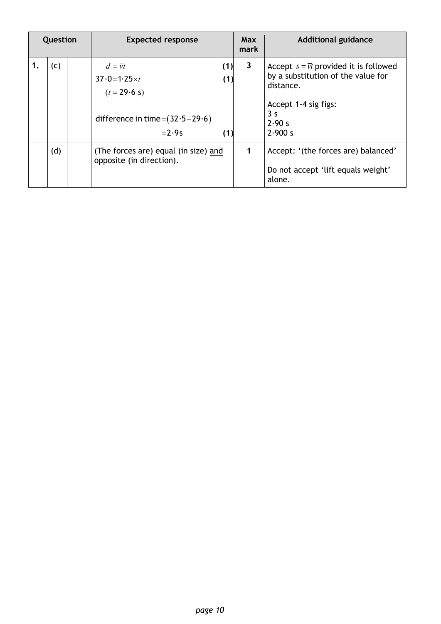| Question |  | <b>Expected response</b>                                                                                             |              | <b>Additional guidance</b>                                                                                                                                |
|----------|--|----------------------------------------------------------------------------------------------------------------------|--------------|-----------------------------------------------------------------------------------------------------------------------------------------------------------|
| (c)      |  | $d=\overline{v}t$<br>(1)<br>$37.0 = 1.25 \times t$<br>$(t = 29.6 s)$<br>difference in time= $(32.5-29.6)$<br>$=2.9s$ | $\mathbf{3}$ | Accept $s = \overline{vt}$ provided it is followed<br>by a substitution of the value for<br>distance.<br>Accept 1-4 sig figs:<br>3 s<br>2.90 s<br>2.900 s |
| (d)      |  | (The forces are) equal (in size) and<br>opposite (in direction).                                                     |              | Accept: '(the forces are) balanced'<br>Do not accept 'lift equals weight'<br>alone.                                                                       |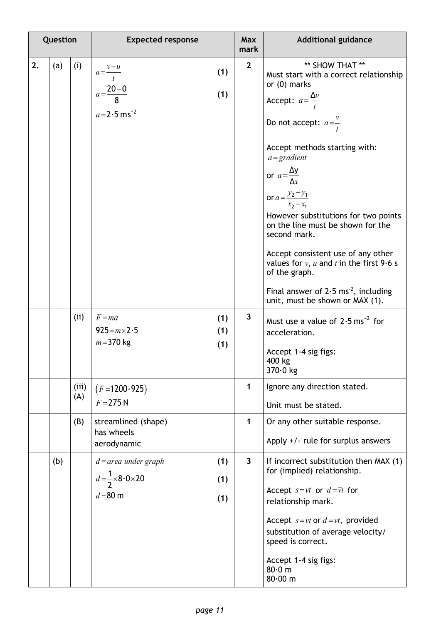| Question |     |              | <b>Expected response</b>                                                                      |              | <b>Additional guidance</b>                                                                                                                                                                                                                                                                                                                                                                                                                                                                                                                                                                 |
|----------|-----|--------------|-----------------------------------------------------------------------------------------------|--------------|--------------------------------------------------------------------------------------------------------------------------------------------------------------------------------------------------------------------------------------------------------------------------------------------------------------------------------------------------------------------------------------------------------------------------------------------------------------------------------------------------------------------------------------------------------------------------------------------|
| 2.       | (a) | (i)          | $a = \frac{v - u}{t}$<br>(1)<br>$a=\frac{20-0}{8}$<br>(1)<br>$a = 2.5$ ms <sup>-2</sup>       | $\mathbf{2}$ | ** SHOW THAT **<br>Must start with a correct relationship<br>or $(0)$ marks<br>Accept: $a=\frac{\Delta v}{t}$<br>Do not accept: $a=\frac{v}{t}$<br>Accept methods starting with:<br>$a = gradient$<br>or $a = \frac{\Delta y}{\Delta x}$<br>or $a = \frac{y_2 - y_1}{x_2 - y_1}$<br>$x_2 - x_1$<br>However substitutions for two points<br>on the line must be shown for the<br>second mark.<br>Accept consistent use of any other<br>values for $v$ , u and t in the first 9.6 s<br>of the graph.<br>Final answer of $2.5 \text{ ms}^{-2}$ , including<br>unit, must be shown or MAX (1). |
|          |     | (ii)         | $F = ma$<br>(1)<br>$925 = m \times 2.5$<br>(1)<br>$m = 370$ kg<br>(1)                         | $\mathbf{3}$ | Must use a value of $2.5 \text{ ms}^{-2}$ for<br>acceleration.<br>Accept 1-4 sig figs:<br>400 kg<br>370.0 kg                                                                                                                                                                                                                                                                                                                                                                                                                                                                               |
|          |     | (iii)<br>(A) | $(F=1200-925)$<br>$F = 275 N$                                                                 | $\mathbf{1}$ | Ignore any direction stated.<br>Unit must be stated.                                                                                                                                                                                                                                                                                                                                                                                                                                                                                                                                       |
|          |     | (B)          | streamlined (shape)<br>has wheels<br>aerodynamic                                              | $\mathbf{1}$ | Or any other suitable response.<br>Apply $+/-$ rule for surplus answers                                                                                                                                                                                                                                                                                                                                                                                                                                                                                                                    |
|          | (b) |              | $d =$ area under graph<br>(1)<br>$d=\frac{1}{2}\times8.0\times20$<br>(1)<br>$d = 80$ m<br>(1) | $\mathbf{3}$ | If incorrect substitution then MAX (1)<br>for (implied) relationship.<br>Accept $s=\overline{vt}$ or $d=\overline{vt}$ for<br>relationship mark.<br>Accept $s = vt$ or $d = vt$ , provided<br>substitution of average velocity/<br>speed is correct.<br>Accept 1-4 sig figs:<br>80.0 m<br>80.00 m                                                                                                                                                                                                                                                                                          |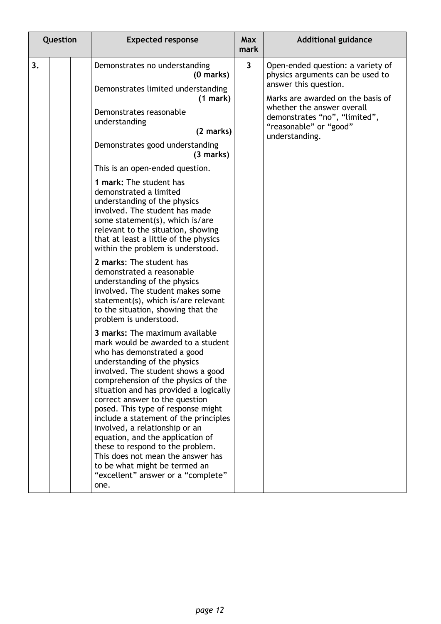| Question |  | <b>Expected response</b>                                                                                                                                                                                                                                                                                                                                                                                                                                                                                                                                                                                  | Max<br>mark             | <b>Additional guidance</b>                                                                                                 |
|----------|--|-----------------------------------------------------------------------------------------------------------------------------------------------------------------------------------------------------------------------------------------------------------------------------------------------------------------------------------------------------------------------------------------------------------------------------------------------------------------------------------------------------------------------------------------------------------------------------------------------------------|-------------------------|----------------------------------------------------------------------------------------------------------------------------|
| 3.       |  | Demonstrates no understanding<br>(0 marks)                                                                                                                                                                                                                                                                                                                                                                                                                                                                                                                                                                | $\overline{\mathbf{3}}$ | Open-ended question: a variety of<br>physics arguments can be used to<br>answer this question.                             |
|          |  | Demonstrates limited understanding<br>(1 mark)<br>Demonstrates reasonable<br>understanding<br>(2 marks)                                                                                                                                                                                                                                                                                                                                                                                                                                                                                                   |                         | Marks are awarded on the basis of<br>whether the answer overall<br>demonstrates "no", "limited",<br>"reasonable" or "good" |
|          |  | Demonstrates good understanding<br>(3 marks)                                                                                                                                                                                                                                                                                                                                                                                                                                                                                                                                                              |                         | understanding.                                                                                                             |
|          |  | This is an open-ended question.                                                                                                                                                                                                                                                                                                                                                                                                                                                                                                                                                                           |                         |                                                                                                                            |
|          |  | 1 mark: The student has<br>demonstrated a limited<br>understanding of the physics<br>involved. The student has made<br>some statement(s), which is/are<br>relevant to the situation, showing<br>that at least a little of the physics<br>within the problem is understood.                                                                                                                                                                                                                                                                                                                                |                         |                                                                                                                            |
|          |  | 2 marks: The student has<br>demonstrated a reasonable<br>understanding of the physics<br>involved. The student makes some<br>statement(s), which is/are relevant<br>to the situation, showing that the<br>problem is understood.                                                                                                                                                                                                                                                                                                                                                                          |                         |                                                                                                                            |
|          |  | 3 marks: The maximum available<br>mark would be awarded to a student<br>who has demonstrated a good<br>understanding of the physics<br>involved. The student shows a good<br>comprehension of the physics of the<br>situation and has provided a logically<br>correct answer to the question<br>posed. This type of response might<br>include a statement of the principles<br>involved, a relationship or an<br>equation, and the application of<br>these to respond to the problem.<br>This does not mean the answer has<br>to be what might be termed an<br>"excellent" answer or a "complete"<br>one. |                         |                                                                                                                            |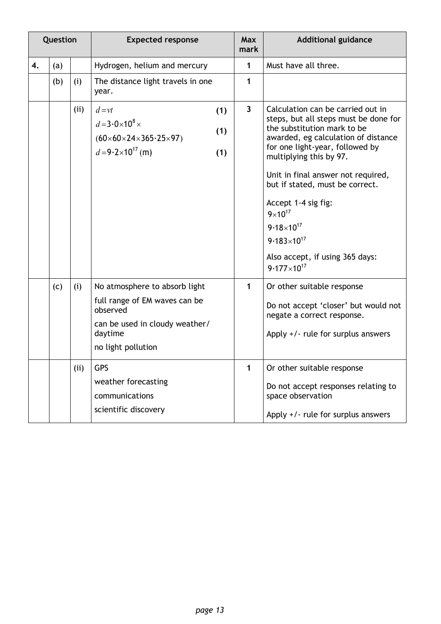|    | Question |            | <b>Expected response</b>                                                                                                                                                                                              |                         | <b>Additional guidance</b>                                                                                                                                                                                                                                                                                                                                                                                                                         |
|----|----------|------------|-----------------------------------------------------------------------------------------------------------------------------------------------------------------------------------------------------------------------|-------------------------|----------------------------------------------------------------------------------------------------------------------------------------------------------------------------------------------------------------------------------------------------------------------------------------------------------------------------------------------------------------------------------------------------------------------------------------------------|
| 4. | (a)      |            | Hydrogen, helium and mercury                                                                                                                                                                                          | $\mathbf{1}$            | Must have all three.                                                                                                                                                                                                                                                                                                                                                                                                                               |
|    | (b)      | (i)        | The distance light travels in one<br>year.                                                                                                                                                                            | 1                       |                                                                                                                                                                                                                                                                                                                                                                                                                                                    |
|    |          | (ii)       | $d = vt$<br>(1)<br>$d=3.0\times10^8\times$<br>(1)<br>$(60 \times 60 \times 24 \times 365.25 \times 97)$<br>$d = 9.2 \times 10^{17}$ (m)<br>(1)                                                                        | $\overline{\mathbf{3}}$ | Calculation can be carried out in<br>steps, but all steps must be done for<br>the substitution mark to be<br>awarded, eg calculation of distance<br>for one light-year, followed by<br>multiplying this by 97.<br>Unit in final answer not required,<br>but if stated, must be correct.<br>Accept 1-4 sig fig:<br>$9 \times 10^{17}$<br>$9.18 \times 10^{17}$<br>$9.183 \times 10^{17}$<br>Also accept, if using 365 days:<br>$9.177\times10^{17}$ |
|    | (c)      | (i)<br>(i) | No atmosphere to absorb light<br>full range of EM waves can be<br>observed<br>can be used in cloudy weather/<br>daytime<br>no light pollution<br>GPS<br>weather forecasting<br>communications<br>scientific discovery | $\mathbf{1}$<br>1       | Or other suitable response<br>Do not accept 'closer' but would not<br>negate a correct response.<br>Apply +/- rule for surplus answers<br>Or other suitable response<br>Do not accept responses relating to<br>space observation<br>Apply $+/-$ rule for surplus answers                                                                                                                                                                           |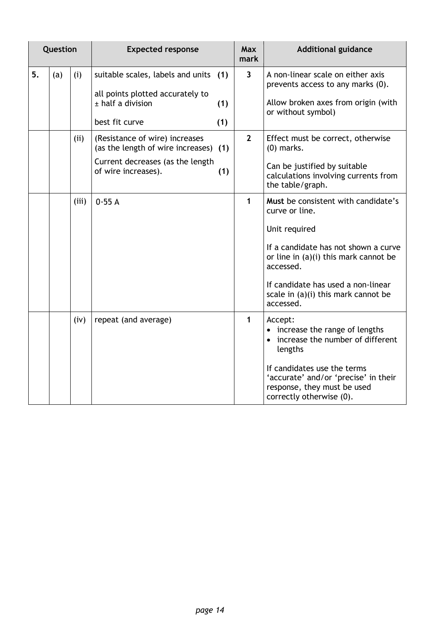|    | Question |       | <b>Expected response</b>                                                                                                                  | <b>Max</b><br>mark | <b>Additional guidance</b>                                                                                                                                                                                                                                         |
|----|----------|-------|-------------------------------------------------------------------------------------------------------------------------------------------|--------------------|--------------------------------------------------------------------------------------------------------------------------------------------------------------------------------------------------------------------------------------------------------------------|
| 5. | (a)      | (i)   | suitable scales, labels and units (1)<br>all points plotted accurately to<br>$±$ half a division<br>(1)<br>best fit curve<br>(1)          | $\overline{3}$     | A non-linear scale on either axis<br>prevents access to any marks (0).<br>Allow broken axes from origin (with<br>or without symbol)                                                                                                                                |
|    |          | (ii)  | (Resistance of wire) increases<br>(as the length of wire increases) (1)<br>Current decreases (as the length<br>of wire increases).<br>(1) | $\overline{2}$     | Effect must be correct, otherwise<br>$(0)$ marks.<br>Can be justified by suitable<br>calculations involving currents from<br>the table/graph.                                                                                                                      |
|    |          | (iii) | 0.55A                                                                                                                                     | 1                  | Must be consistent with candidate's<br>curve or line.<br>Unit required<br>If a candidate has not shown a curve<br>or line in $(a)(i)$ this mark cannot be<br>accessed.<br>If candidate has used a non-linear<br>scale in $(a)(i)$ this mark cannot be<br>accessed. |
|    |          | (iv)  | repeat (and average)                                                                                                                      | 1                  | Accept:<br>• increase the range of lengths<br>• increase the number of different<br>lengths<br>If candidates use the terms<br>'accurate' and/or 'precise' in their<br>response, they must be used<br>correctly otherwise (0).                                      |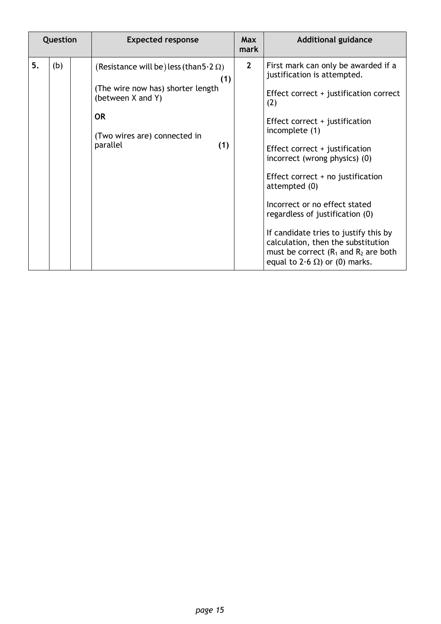|    | Question | <b>Expected response</b>                                                                                                                                                        | <b>Max</b><br>mark | <b>Additional guidance</b>                                                                                                                                                                                                                                                                                                                                                                                                                                                                                                                  |
|----|----------|---------------------------------------------------------------------------------------------------------------------------------------------------------------------------------|--------------------|---------------------------------------------------------------------------------------------------------------------------------------------------------------------------------------------------------------------------------------------------------------------------------------------------------------------------------------------------------------------------------------------------------------------------------------------------------------------------------------------------------------------------------------------|
| 5. | (b)      | (Resistance will be) less (than $5.2 \Omega$ )<br>(1)<br>(The wire now has) shorter length<br>(between X and Y)<br><b>OR</b><br>(Two wires are) connected in<br>parallel<br>(1) | $\overline{2}$     | First mark can only be awarded if a<br>justification is attempted.<br>Effect correct + justification correct<br>(2)<br>Effect correct + justification<br>incomplete (1)<br>Effect correct + justification<br>incorrect (wrong physics) (0)<br>Effect correct $+$ no justification<br>attempted (0)<br>Incorrect or no effect stated<br>regardless of justification (0)<br>If candidate tries to justify this by<br>calculation, then the substitution<br>must be correct $(R_1$ and $R_2$ are both<br>equal to 2.6 $\Omega$ ) or (0) marks. |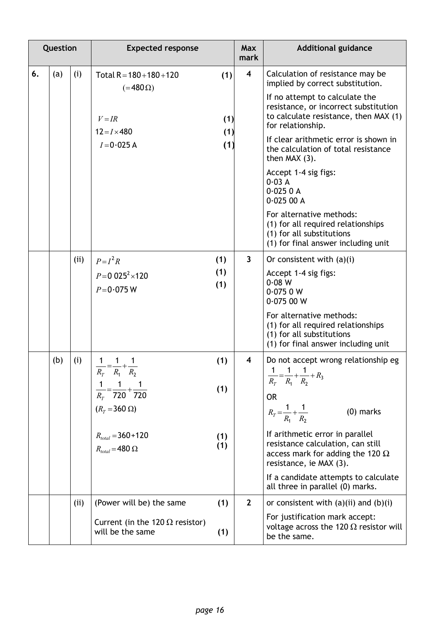| Question |     |      | <b>Expected response</b>                                                                           |                   | <b>Max</b><br>mark      | <b>Additional guidance</b>                                                                                                                      |
|----------|-----|------|----------------------------------------------------------------------------------------------------|-------------------|-------------------------|-------------------------------------------------------------------------------------------------------------------------------------------------|
| 6.       | (a) | (i)  | Total $R = 180 + 180 + 120$<br>$( = 480 \Omega)$                                                   | (1)               | $\overline{\mathbf{4}}$ | Calculation of resistance may be<br>implied by correct substitution.<br>If no attempt to calculate the<br>resistance, or incorrect substitution |
|          |     |      | $V = IR$<br>$12 = I \times 480$<br>$I=0.025$ A                                                     | (1)<br>(1)<br>(1) |                         | to calculate resistance, then MAX (1)<br>for relationship.<br>If clear arithmetic error is shown in<br>the calculation of total resistance      |
|          |     |      |                                                                                                    |                   |                         | then MAX (3).<br>Accept 1-4 sig figs:<br>0.03A<br>0.0250A<br>0.02500A                                                                           |
|          |     |      |                                                                                                    |                   |                         | For alternative methods:<br>(1) for all required relationships<br>(1) for all substitutions<br>(1) for final answer including unit              |
|          |     | (i)  | $P = I^2 R$                                                                                        | (1)               | $\overline{\mathbf{3}}$ | Or consistent with $(a)(i)$                                                                                                                     |
|          |     |      | $P = 0.025^2 \times 120$<br>$P = 0.075 W$                                                          | (1)<br>(1)        |                         | Accept 1-4 sig figs:<br>0.08 W<br>0.0750W<br>0.07500W                                                                                           |
|          |     |      |                                                                                                    |                   |                         | For alternative methods:<br>(1) for all required relationships<br>(1) for all substitutions<br>(1) for final answer including unit              |
|          | (b) | (i)  | $\frac{1}{R_T} = \frac{1}{R_1} + \frac{1}{R_2}$<br>$\frac{1}{R_T} = \frac{1}{720} + \frac{1}{720}$ | (1)<br>(1)        | $\overline{\mathbf{4}}$ | Do not accept wrong relationship eg<br>$\frac{1}{R_T} = \frac{1}{R_1} + \frac{1}{R_2} + R_3$<br><b>OR</b>                                       |
|          |     |      | $(R_T = 360 \Omega)$                                                                               |                   |                         | $R_T = \frac{1}{R_1} + \frac{1}{R_2}$<br>$(0)$ marks                                                                                            |
|          |     |      | $R_{total} = 360 + 120$<br>$R_{total} = 480 \Omega$                                                | (1)<br>(1)        |                         | If arithmetic error in parallel<br>resistance calculation, can still<br>access mark for adding the 120 $\Omega$<br>resistance, ie MAX (3).      |
|          |     |      |                                                                                                    |                   |                         | If a candidate attempts to calculate<br>all three in parallel (0) marks.                                                                        |
|          |     | (ii) | (Power will be) the same                                                                           | (1)               | $\mathbf{2}$            | or consistent with $(a)(ii)$ and $(b)(i)$                                                                                                       |
|          |     |      | Current (in the 120 $\Omega$ resistor)<br>will be the same                                         | (1)               |                         | For justification mark accept:<br>voltage across the 120 $\Omega$ resistor will<br>be the same.                                                 |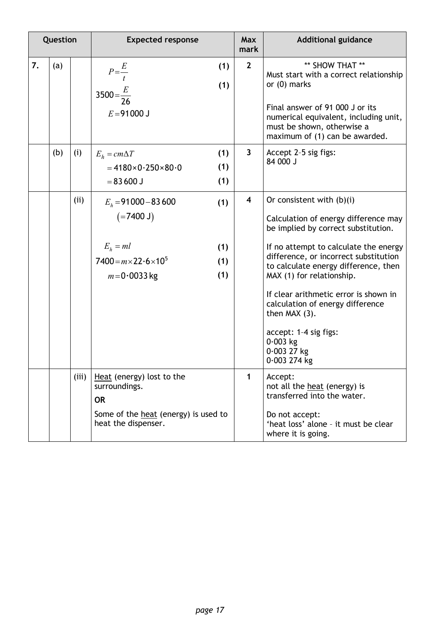| Question |     |       | <b>Expected response</b>                                                                                                                 | <b>Max</b><br>mark      | <b>Additional guidance</b>                                                                                                                                                                                                                                                                                                                                                                                                                |
|----------|-----|-------|------------------------------------------------------------------------------------------------------------------------------------------|-------------------------|-------------------------------------------------------------------------------------------------------------------------------------------------------------------------------------------------------------------------------------------------------------------------------------------------------------------------------------------------------------------------------------------------------------------------------------------|
| 7.       | (a) |       | (1)<br>$P=\frac{E}{t}$<br>(1)<br>$3500 = \frac{E}{26}$<br>$E = 91000$ J                                                                  | $\mathbf{2}$            | ** SHOW THAT **<br>Must start with a correct relationship<br>or $(0)$ marks<br>Final answer of 91 000 J or its<br>numerical equivalent, including unit,<br>must be shown, otherwise a<br>maximum of (1) can be awarded.                                                                                                                                                                                                                   |
|          | (b) | (i)   | (1)<br>$E_h = cm\Delta T$<br>(1)<br>$= 4180 \times 0.250 \times 80.0$<br>(1)<br>$= 83600$ J                                              | $\mathbf{3}$            | Accept 2-5 sig figs:<br>84 000 J                                                                                                                                                                                                                                                                                                                                                                                                          |
|          |     | (ii)  | $E_h$ = 91000 – 83 600<br>(1)<br>$(=7400$ J)<br>$E_h = ml$<br>(1)<br>$7400 = m \times 22.6 \times 10^5$<br>(1)<br>(1)<br>$m = 0.0033$ kg | $\overline{\mathbf{4}}$ | Or consistent with $(b)(i)$<br>Calculation of energy difference may<br>be implied by correct substitution.<br>If no attempt to calculate the energy<br>difference, or incorrect substitution<br>to calculate energy difference, then<br>MAX (1) for relationship.<br>If clear arithmetic error is shown in<br>calculation of energy difference<br>then $MAX(3)$ .<br>accept: 1-4 sig figs:<br>$0.003$ kg<br>$0.003$ 27 kg<br>0.003 274 kg |
|          |     | (iii) | Heat (energy) lost to the<br>surroundings.<br><b>OR</b><br>Some of the heat (energy) is used to<br>heat the dispenser.                   | $\mathbf{1}$            | Accept:<br>not all the heat (energy) is<br>transferred into the water.<br>Do not accept:<br>'heat loss' alone - it must be clear<br>where it is going.                                                                                                                                                                                                                                                                                    |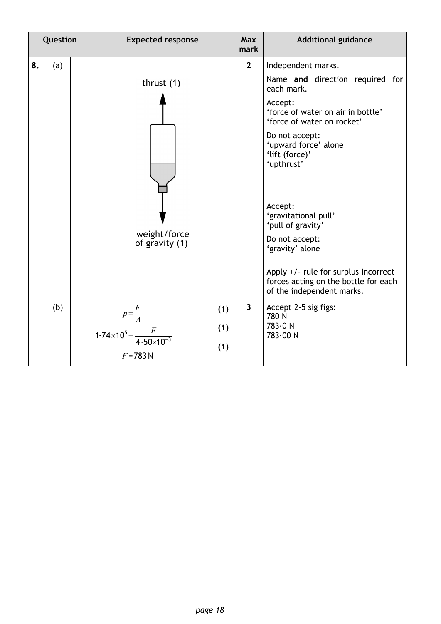| Question |     |  | <b>Expected response</b>                                                              |                   | <b>Max</b><br>mark      | <b>Additional guidance</b>                                                                                                                                                                                                                                                                                                                                                                                                            |  |  |
|----------|-----|--|---------------------------------------------------------------------------------------|-------------------|-------------------------|---------------------------------------------------------------------------------------------------------------------------------------------------------------------------------------------------------------------------------------------------------------------------------------------------------------------------------------------------------------------------------------------------------------------------------------|--|--|
| 8.       | (a) |  | thrust $(1)$<br>weight/force<br>of gravity (1)                                        |                   | $\mathbf{2}$            | Independent marks.<br>Name and direction required for<br>each mark.<br>Accept:<br>'force of water on air in bottle'<br>'force of water on rocket'<br>Do not accept:<br>'upward force' alone<br>'lift (force)'<br>'upthrust'<br>Accept:<br>'gravitational pull'<br>'pull of gravity'<br>Do not accept:<br>'gravity' alone<br>Apply +/- rule for surplus incorrect<br>forces acting on the bottle for each<br>of the independent marks. |  |  |
|          | (b) |  | $p = \frac{F}{A}$<br>$1.74 \times 10^5 = \frac{F}{4.50 \times 10^{-3}}$<br>$F = 783N$ | (1)<br>(1)<br>(1) | $\overline{\mathbf{3}}$ | Accept 2-5 sig figs:<br>780N<br>783.0 N<br>783.00 N                                                                                                                                                                                                                                                                                                                                                                                   |  |  |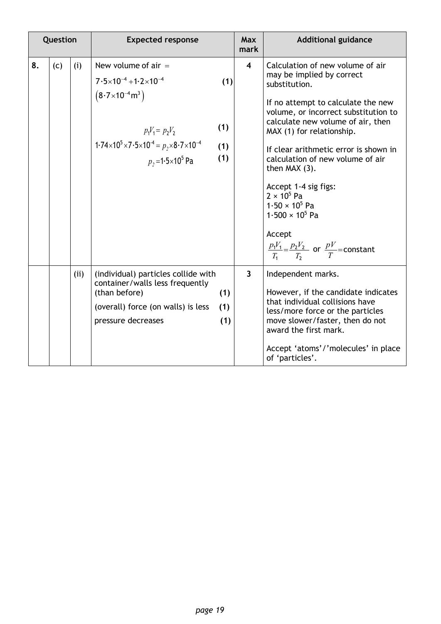|    | Question |      | <b>Expected response</b>                                                                                                                                                                                                               |                          | <b>Max</b><br>mark      | <b>Additional guidance</b>                                                                                                                                                                                                                                                                                                                                                                                                                                                                                         |
|----|----------|------|----------------------------------------------------------------------------------------------------------------------------------------------------------------------------------------------------------------------------------------|--------------------------|-------------------------|--------------------------------------------------------------------------------------------------------------------------------------------------------------------------------------------------------------------------------------------------------------------------------------------------------------------------------------------------------------------------------------------------------------------------------------------------------------------------------------------------------------------|
| 8. | (c)      | (i)  | New volume of $air =$<br>$7.5\times10^{-4}$ +1.2 $\times10^{-4}$<br>$(8.7\times10^{-4} \text{m}^3)$<br>$p_1V_1 = p_2V_2$<br>$1.74 \times 10^5 \times 7.5 \times 10^{-4} = p_2 \times 8.7 \times 10^{-4}$<br>$p_2 = 1.5 \times 10^5$ Pa | (1)<br>(1)<br>(1)<br>(1) | $\overline{\mathbf{4}}$ | Calculation of new volume of air<br>may be implied by correct<br>substitution.<br>If no attempt to calculate the new<br>volume, or incorrect substitution to<br>calculate new volume of air, then<br>MAX (1) for relationship.<br>If clear arithmetic error is shown in<br>calculation of new volume of air<br>then $MAX(3)$ .<br>Accept 1-4 sig figs:<br>$2 \times 10^5$ Pa<br>$1.50 \times 10^5$ Pa<br>$1.500 \times 10^5$ Pa<br>Accept<br>$\frac{p_1V_1}{T_1} = \frac{p_2V_2}{T_2}$ or $\frac{pV}{T}$ =constant |
|    |          | (ii) | (individual) particles collide with<br>container/walls less frequently<br>(than before)<br>(overall) force (on walls) is less<br>pressure decreases                                                                                    | (1)<br>(1)<br>(1)        | $\overline{\mathbf{3}}$ | Independent marks.<br>However, if the candidate indicates<br>that individual collisions have<br>less/more force or the particles<br>move slower/faster, then do not<br>award the first mark.<br>Accept 'atoms'/'molecules' in place<br>of 'particles'.                                                                                                                                                                                                                                                             |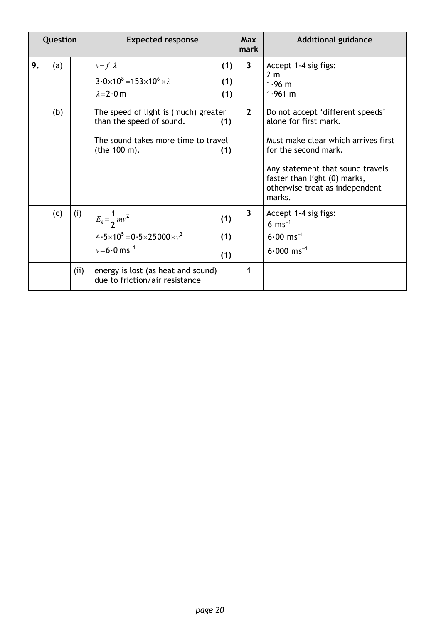| Question |     |      | <b>Expected response</b>                                                                                                              | <b>Max</b><br>mark | <b>Additional guidance</b>                                                                                                                                                                                                               |
|----------|-----|------|---------------------------------------------------------------------------------------------------------------------------------------|--------------------|------------------------------------------------------------------------------------------------------------------------------------------------------------------------------------------------------------------------------------------|
| 9.       | (a) |      | (1)<br>$v=f \lambda$<br>$3.0 \times 10^8 = 153 \times 10^6 \times \lambda$<br>(1)<br>$\lambda = 2.0$ m<br>(1)                         | $\mathbf{3}$       | Accept 1-4 sig figs:<br>2 <sub>m</sub><br>$1.96$ m<br>1.961 m                                                                                                                                                                            |
|          | (b) |      | The speed of light is (much) greater<br>than the speed of sound.<br>(1)<br>The sound takes more time to travel<br>(the 100 m).<br>(1) | $2^{\circ}$        | Do not accept 'different speeds'<br>alone for first mark.<br>Must make clear which arrives first<br>for the second mark.<br>Any statement that sound travels<br>faster than light (0) marks,<br>otherwise treat as independent<br>marks. |
|          | (c) | (i)  | $E_k = \frac{1}{2}mv^2$<br>(1)<br>$4.5 \times 10^5 = 0.5 \times 25000 \times v^2$<br>(1)<br>$v = 6.0$ ms <sup>-1</sup><br>(1)         | $\mathbf{3}$       | Accept 1-4 sig figs:<br>6 $ms^{-1}$<br>$6.00$ ms <sup>-1</sup><br>$6.000$ ms <sup>-1</sup>                                                                                                                                               |
|          |     | (ii) | energy is lost (as heat and sound)<br>due to friction/air resistance                                                                  | 1                  |                                                                                                                                                                                                                                          |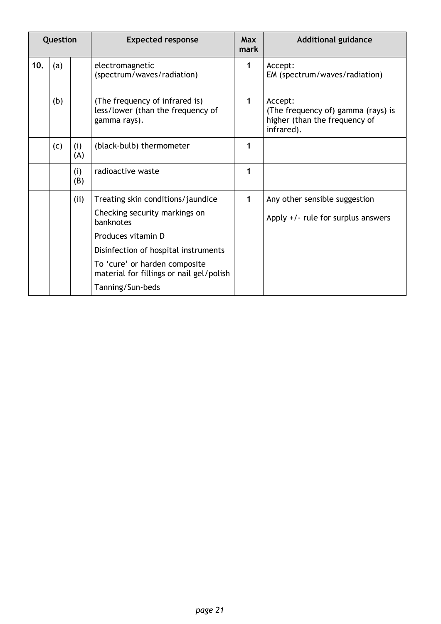| Question |     |            | <b>Expected response</b>                                                            | <b>Max</b><br>mark | <b>Additional guidance</b>                                                                   |  |
|----------|-----|------------|-------------------------------------------------------------------------------------|--------------------|----------------------------------------------------------------------------------------------|--|
| 10.      | (a) |            | electromagnetic<br>(spectrum/waves/radiation)                                       | 1                  | Accept:<br>EM (spectrum/waves/radiation)                                                     |  |
|          | (b) |            | (The frequency of infrared is)<br>less/lower (than the frequency of<br>gamma rays). | 1                  | Accept:<br>(The frequency of) gamma (rays) is<br>higher (than the frequency of<br>infrared). |  |
|          | (c) | (i)<br>(A) | (black-bulb) thermometer                                                            | 1                  |                                                                                              |  |
|          |     | (i)<br>(B) | radioactive waste                                                                   | 1                  |                                                                                              |  |
|          |     | (ii)       | Treating skin conditions/jaundice                                                   | 1                  | Any other sensible suggestion                                                                |  |
|          |     |            | Checking security markings on<br>banknotes                                          |                    | Apply $+/-$ rule for surplus answers                                                         |  |
|          |     |            | Produces vitamin D                                                                  |                    |                                                                                              |  |
|          |     |            | Disinfection of hospital instruments                                                |                    |                                                                                              |  |
|          |     |            | To 'cure' or harden composite<br>material for fillings or nail gel/polish           |                    |                                                                                              |  |
|          |     |            | Tanning/Sun-beds                                                                    |                    |                                                                                              |  |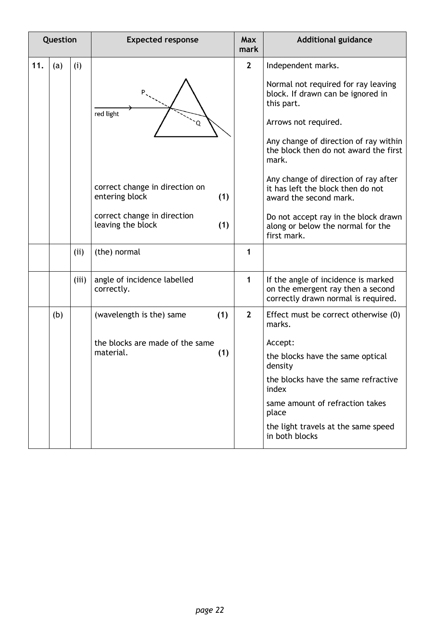|     | Question |       | <b>Expected response</b>                                | <b>Max</b><br>mark | <b>Additional guidance</b>                                                                                                                                                                                |
|-----|----------|-------|---------------------------------------------------------|--------------------|-----------------------------------------------------------------------------------------------------------------------------------------------------------------------------------------------------------|
| 11. | (a)      | (i)   |                                                         | $\overline{2}$     | Independent marks.                                                                                                                                                                                        |
|     |          |       | red light<br>Q                                          |                    | Normal not required for ray leaving<br>block. If drawn can be ignored in<br>this part.<br>Arrows not required.<br>Any change of direction of ray within<br>the block then do not award the first<br>mark. |
|     |          |       | correct change in direction on<br>entering block<br>(1) |                    | Any change of direction of ray after<br>it has left the block then do not<br>award the second mark.                                                                                                       |
|     |          |       | correct change in direction<br>leaving the block<br>(1) |                    | Do not accept ray in the block drawn<br>along or below the normal for the<br>first mark.                                                                                                                  |
|     |          | (ii)  | (the) normal                                            | 1                  |                                                                                                                                                                                                           |
|     |          | (iii) | angle of incidence labelled<br>correctly.               | $\mathbf{1}$       | If the angle of incidence is marked<br>on the emergent ray then a second<br>correctly drawn normal is required.                                                                                           |
|     | (b)      |       | (wavelength is the) same<br>(1)                         | $\mathbf{2}$       | Effect must be correct otherwise (0)<br>marks.                                                                                                                                                            |
|     |          |       | the blocks are made of the same                         |                    | Accept:                                                                                                                                                                                                   |
|     |          |       | material.<br>(1)                                        |                    | the blocks have the same optical<br>density                                                                                                                                                               |
|     |          |       |                                                         |                    | the blocks have the same refractive<br>index                                                                                                                                                              |
|     |          |       |                                                         |                    | same amount of refraction takes<br>place                                                                                                                                                                  |
|     |          |       |                                                         |                    | the light travels at the same speed<br>in both blocks                                                                                                                                                     |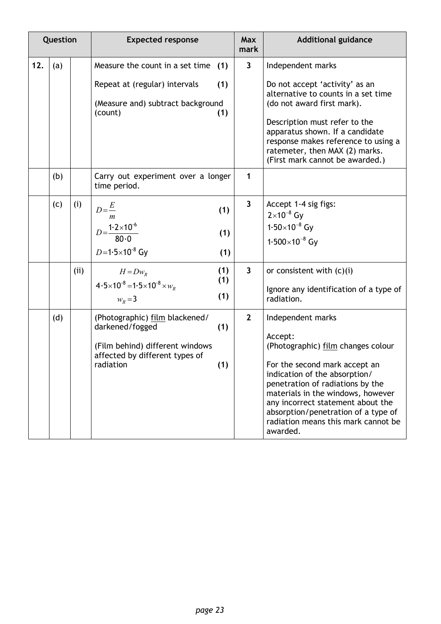| Question |     |      | <b>Expected response</b>                                                                                                            |                   | <b>Max</b><br>mark      | <b>Additional guidance</b>                                                                                                                                                                                                                                                                                                                   |
|----------|-----|------|-------------------------------------------------------------------------------------------------------------------------------------|-------------------|-------------------------|----------------------------------------------------------------------------------------------------------------------------------------------------------------------------------------------------------------------------------------------------------------------------------------------------------------------------------------------|
| 12.      | (a) |      | Measure the count in a set time<br>Repeat at (regular) intervals<br>(Measure and) subtract background<br>(count)                    | (1)<br>(1)<br>(1) | $\mathbf{3}$            | Independent marks<br>Do not accept 'activity' as an<br>alternative to counts in a set time<br>(do not award first mark).<br>Description must refer to the<br>apparatus shown. If a candidate<br>response makes reference to using a<br>ratemeter, then MAX (2) marks.<br>(First mark cannot be awarded.)                                     |
|          | (b) |      | Carry out experiment over a longer<br>time period.                                                                                  |                   | 1                       |                                                                                                                                                                                                                                                                                                                                              |
|          | (c) | (i)  | $D=\frac{E}{\sqrt{2}}$<br>$\boldsymbol{m}$<br>$D = \frac{1.2 \times 10^{-6}}{2}$<br>$80-0$<br>$D=1.5\times10^{-8}$ Gy               | (1)<br>(1)<br>(1) | $\overline{3}$          | Accept 1-4 sig figs:<br>$2 \times 10^{-8}$ Gy<br>$1.50\times10^{-8}$ Gy<br>$1.500\times10^{-8}$ Gy                                                                                                                                                                                                                                           |
|          |     | (ii) | $H = Dw_R$<br>$4.5 \times 10^{-8} = 1.5 \times 10^{-8} \times w_R$<br>$W_R = 3$                                                     | (1)<br>(1)<br>(1) | $\overline{\mathbf{3}}$ | or consistent with $(c)(i)$<br>Ignore any identification of a type of<br>radiation.                                                                                                                                                                                                                                                          |
|          | (d) |      | (Photographic) film blackened/<br>darkened/fogged<br>(Film behind) different windows<br>affected by different types of<br>radiation | (1)<br>(1)        | $\overline{2}$          | Independent marks<br>Accept:<br>(Photographic) film changes colour<br>For the second mark accept an<br>indication of the absorption/<br>penetration of radiations by the<br>materials in the windows, however<br>any incorrect statement about the<br>absorption/penetration of a type of<br>radiation means this mark cannot be<br>awarded. |